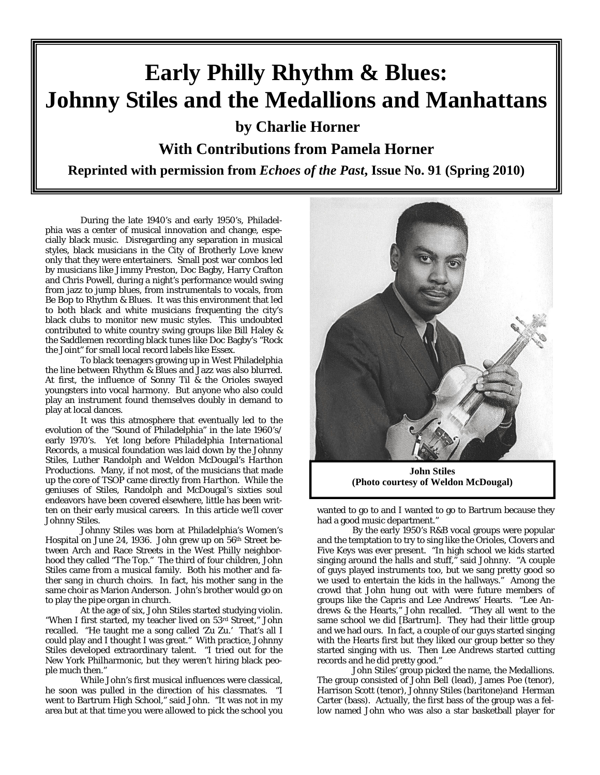# **Early Philly Rhythm & Blues: Johnny Stiles and the Medallions and Manhattans**

**by Charlie Horner** 

**With Contributions from Pamela Horner** 

**Reprinted with permission from** *Echoes of the Past***, Issue No. 91 (Spring 2010)** 

During the late 1940's and early 1950's, Philadelphia was a center of musical innovation and change, especially black music. Disregarding any separation in musical styles, black musicians in the City of Brotherly Love knew only that they were entertainers. Small post war combos led by musicians like Jimmy Preston, Doc Bagby, Harry Crafton and Chris Powell, during a night's performance would swing from jazz to jump blues, from instrumentals to vocals, from Be Bop to Rhythm & Blues. It was this environment that led to both black and white musicians frequenting the city's black clubs to monitor new music styles. This undoubted contributed to white country swing groups like Bill Haley & the Saddlemen recording black tunes like Doc Bagby's "Rock the Joint" for small local record labels like *Essex*.

To black teenagers growing up in West Philadelphia the line between Rhythm & Blues and Jazz was also blurred. At first, the influence of Sonny Til & the Orioles swayed youngsters into vocal harmony. But anyone who also could play an instrument found themselves doubly in demand to play at local dances.

It was this atmosphere that eventually led to the evolution of the "Sound of Philadelphia" in the late 1960's/ early 1970's. Yet long before *Philadelphia International Records*, a musical foundation was laid down by the Johnny Stiles, Luther Randolph and Weldon McDougal's *Harthon Productions*. Many, if not most, of the musicians that made up the core of TSOP came directly from *Harthon*. While the geniuses of Stiles, Randolph and McDougal's sixties soul endeavors have been covered elsewhere, little has been written on their early musical careers. In this article we'll cover Johnny Stiles.

Johnny Stiles was born at Philadelphia's Women's Hospital on June 24, 1936. John grew up on 56th Street between Arch and Race Streets in the West Philly neighborhood they called "The Top." The third of four children, John Stiles came from a musical family. Both his mother and father sang in church choirs. In fact, his mother sang in the same choir as Marion Anderson. John's brother would go on to play the pipe organ in church.

At the age of six, John Stiles started studying violin. "When I first started, my teacher lived on 53rd Street," John recalled. "He taught me a song called 'Zu Zu.' That's all I could play and I thought I was great." With practice, Johnny Stiles developed extraordinary talent. "I tried out for the New York Philharmonic, but they weren't hiring black people much then."

While John's first musical influences were classical, he soon was pulled in the direction of his classmates. "I went to Bartrum High School," said John. "It was not in my area but at that time you were allowed to pick the school you



**John Stiles (Photo courtesy of Weldon McDougal)** 

wanted to go to and I wanted to go to Bartrum because they had a good music department."

By the early 1950's R&B vocal groups were popular and the temptation to try to sing like the Orioles, Clovers and Five Keys was ever present. "In high school we kids started singing around the halls and stuff," said Johnny. "A couple of guys played instruments too, but we sang pretty good so we used to entertain the kids in the hallways." Among the crowd that John hung out with were future members of groups like the Capris and Lee Andrews' Hearts. "Lee Andrews & the Hearts," John recalled. "They all went to the same school we did [Bartrum]. They had their little group and we had ours. In fact, a couple of our guys started singing with the Hearts first but they liked our group better so they started singing with us. Then Lee Andrews started cutting records and he did pretty good."

John Stiles' group picked the name, the Medallions. The group consisted of John Bell (lead), James Poe (tenor), Harrison Scott (tenor), Johnny Stiles (baritone)and Herman Carter (bass). Actually, the first bass of the group was a fellow named John who was also a star basketball player for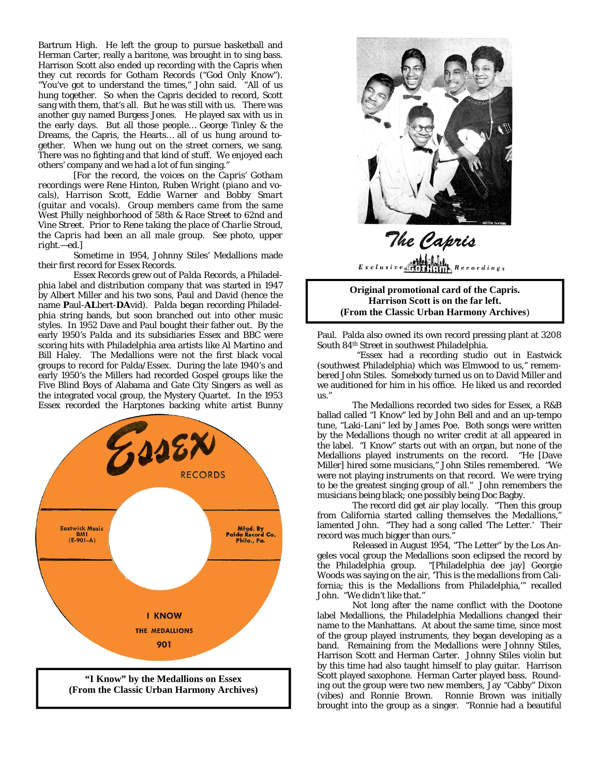Bartrum High. He left the group to pursue basketball and Herman Carter, really a baritone, was brought in to sing bass. Harrison Scott also ended up recording with the Capris when they cut records for *Gotham Records* ("God Only Know"). "You've got to understand the times," John said. "All of us hung together. So when the Capris decided to record, Scott sang with them, that's all. But he was still with us. There was another guy named Burgess Jones. He played sax with us in the early days. But all those people… George Tinley & the Dreams, the Capris, the Hearts… all of us hung around together. When we hung out on the street corners, we sang. There was no fighting and that kind of stuff. We enjoyed each others' company and we had a lot of fun singing."

*[For the record, the voices on the Capris' Gotham recordings were Rene Hinton, Ruben Wright (piano and vocals), Harrison Scott, Eddie Warner and Bobby Smart (guitar and vocals). Group members came from the same West Philly neighborhood of 58th & Race Street to 62nd and Vine Street. Prior to Rene taking the place of Charlie Stroud, the Capris had been an all male group. See photo, upper right.—ed.]* 

Sometime in 1954, Johnny Stiles' Medallions made their first record for *Essex Records*.

*Essex Records* grew out of *Palda Records*, a Philadelphia label and distribution company that was started in 1947 by Albert Miller and his two sons, Paul and David (hence the name **P**aul-**AL**bert-**DA**vid). *Palda* began recording Philadelphia string bands, but soon branched out into other music styles. In 1952 Dave and Paul bought their father out. By the early 1950's *Palda* and its subsidiaries *Essex* and *BBC* were scoring hits with Philadelphia area artists like Al Martino and Bill Haley. The Medallions were not the first black vocal groups to record for Palda/Essex. During the late 1940's and early 1950's the Millers had recorded Gospel groups like the Five Blind Boys of Alabama and Gate City Singers as well as the integrated vocal group, the Mystery Quartet. In the 1953 *Essex* recorded the Harptones backing white artist Bunny





# The Capris  $\begin{picture}(180,10) \put(0,0){\vector(1,0){180}} \put(10,0){\vector(1,0){180}} \put(10,0){\vector(1,0){180}} \put(10,0){\vector(1,0){180}} \put(10,0){\vector(1,0){180}} \put(10,0){\vector(1,0){180}} \put(10,0){\vector(1,0){180}} \put(10,0){\vector(1,0){180}} \put(10,0){\vector(1,0){180}} \put(10,0){\vector(1,0){180}} \put(10,0){\vector(1,0){180}}$

**Original promotional card of the Capris. Harrison Scott is on the far left. (From the Classic Urban Harmony Archives**)

Paul. Palda also owned its own record pressing plant at 3208 South 84th Street in southwest Philadelphia.

 "Essex had a recording studio out in Eastwick (southwest Philadelphia) which was Elmwood to us," remembered John Stiles. Somebody turned us on to David Miller and we auditioned for him in his office. He liked us and recorded us."

 The Medallions recorded two sides for Essex, a R&B ballad called "I Know" led by John Bell and and an up-tempo tune, "Laki-Lani" led by James Poe. Both songs were written by the Medallions though no writer credit at all appeared in the label. "I Know" starts out with an organ, but none of the Medallions played instruments on the record. "He [Dave Miller] hired some musicians," John Stiles remembered. "We were not playing instruments on that record. We were trying to be the greatest singing group of all." John remembers the musicians being black; one possibly being Doc Bagby.

 The record did get air play locally. "Then this group from California started calling themselves the Medallions, lamented John. "They had a song called 'The Letter.' Their record was much bigger than ours."

 Released in August 1954, "The Letter" by the Los Angeles vocal group the Medallions soon eclipsed the record by the Philadelphia group. "[Philadelphia dee jay] Georgie Woods was saying on the air, 'This is the medallions from California; this is the Medallions from Philadelphia,'" recalled John. "We didn't like that."

 Not long after the name conflict with the *Dootone* label Medallions, the Philadelphia Medallions changed their name to the Manhattans. At about the same time, since most of the group played instruments, they began developing as a band. Remaining from the Medallions were Johnny Stiles, Harrison Scott and Herman Carter. Johnny Stiles violin but by this time had also taught himself to play guitar. Harrison Scott played saxophone. Herman Carter played bass. Rounding out the group were two new members, Jay "Cabby" Dixon (vibes) and Ronnie Brown. Ronnie Brown was initially brought into the group as a singer. "Ronnie had a beautiful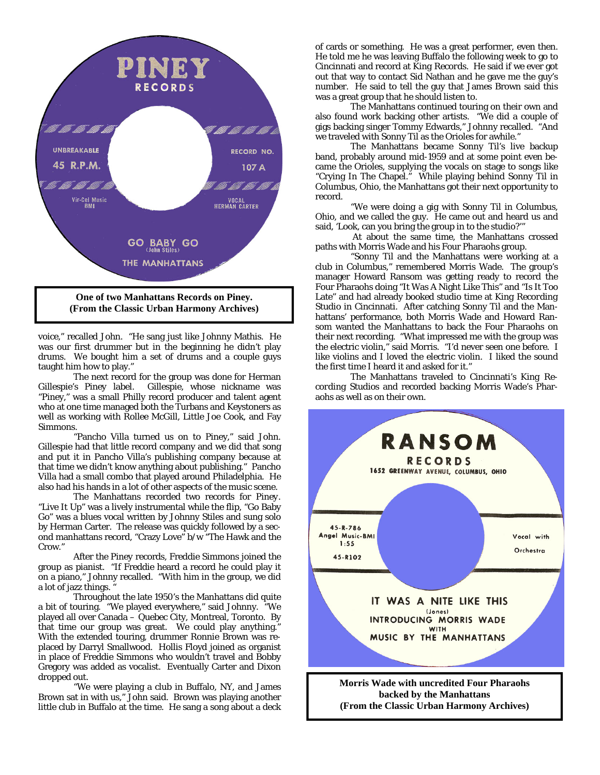

**(From the Classic Urban Harmony Archives)** 

voice," recalled John. "He sang just like Johnny Mathis. He was our first drummer but in the beginning he didn't play drums. We bought him a set of drums and a couple guys taught him how to play."

 The next record for the group was done for Herman Gillespie's *Piney* label. Gillespie, whose nickname was "Piney," was a small Philly record producer and talent agent who at one time managed both the Turbans and Keystoners as well as working with Rollee McGill, Little Joe Cook, and Fay Simmons.

 "Pancho Villa turned us on to Piney," said John. Gillespie had that little record company and we did that song and put it in Pancho Villa's publishing company because at that time we didn't know anything about publishing." Pancho Villa had a small combo that played around Philadelphia. He also had his hands in a lot of other aspects of the music scene.

 The Manhattans recorded two records for *Piney*. "Live It Up" was a lively instrumental while the flip, "Go Baby Go" was a blues vocal written by Johnny Stiles and sung solo by Herman Carter. The release was quickly followed by a second manhattans record, "Crazy Love" b/w "The Hawk and the Crow."

After the *Piney* records, Freddie Simmons joined the group as pianist. "If Freddie heard a record he could play it on a piano," Johnny recalled. "With him in the group, we did a lot of jazz things.

Throughout the late 1950's the Manhattans did quite a bit of touring. "We played everywhere," said Johnny. "We played all over Canada – Quebec City, Montreal, Toronto. By that time our group was great. We could play anything." With the extended touring, drummer Ronnie Brown was replaced by Darryl Smallwood. Hollis Floyd joined as organist in place of Freddie Simmons who wouldn't travel and Bobby Gregory was added as vocalist. Eventually Carter and Dixon dropped out.

"We were playing a club in Buffalo, NY, and James Brown sat in with us," John said. Brown was playing another little club in Buffalo at the time. He sang a song about a deck of cards or something. He was a great performer, even then. He told me he was leaving Buffalo the following week to go to Cincinnati and record at *King Records*. He said if we ever got out that way to contact Sid Nathan and he gave me the guy's number. He said to tell the guy that James Brown said this was a great group that he should listen to.

The Manhattans continued touring on their own and also found work backing other artists. "We did a couple of gigs backing singer Tommy Edwards," Johnny recalled. "And we traveled with Sonny Til as the Orioles for awhile."

The Manhattans became Sonny Til's live backup band, probably around mid-1959 and at some point even became the Orioles, supplying the vocals on stage to songs like "Crying In The Chapel." While playing behind Sonny Til in Columbus, Ohio, the Manhattans got their next opportunity to record.

"We were doing a gig with Sonny Til in Columbus, Ohio, and we called the guy. He came out and heard us and said, 'Look, can you bring the group in to the studio?'"

 At about the same time, the Manhattans crossed paths with Morris Wade and his Four Pharaohs group.

"Sonny Til and the Manhattans were working at a club in Columbus," remembered Morris Wade. The group's manager Howard Ransom was getting ready to record the Four Pharaohs doing "It Was A Night Like This" and "Is It Too Late" and had already booked studio time at *King Recording Studio* in Cincinnati. After catching Sonny Til and the Manhattans' performance, both Morris Wade and Howard Ransom wanted the Manhattans to back the Four Pharaohs on their next recording. "What impressed me with the group was the electric violin," said Morris. "I'd never seen one before. I like violins and I loved the electric violin. I liked the sound the first time I heard it and asked for it."

The Manhattans traveled to Cincinnati's *King Recording Studios* and recorded backing Morris Wade's Pharaohs as well as on their own.

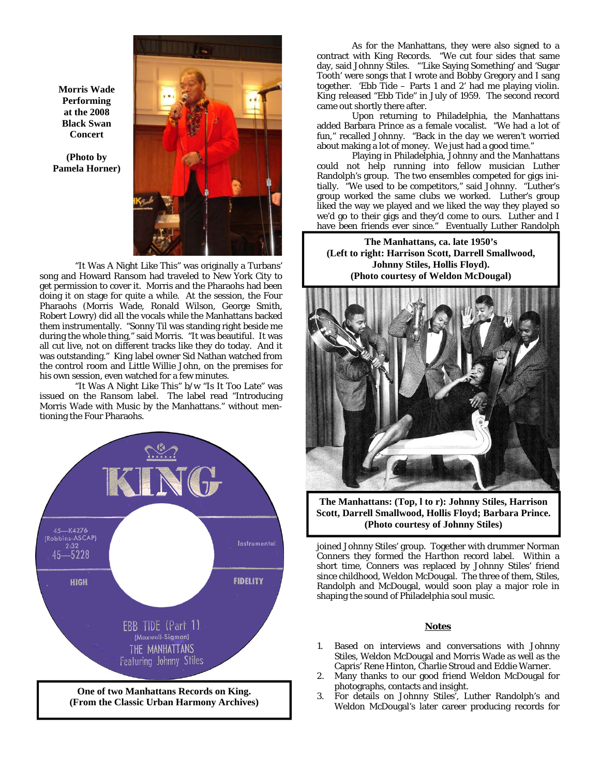**Morris Wade Performing at the 2008 Black Swan Concert** 

**(Photo by Pamela Horner)** 



"It Was A Night Like This" was originally a Turbans' song and Howard Ransom had traveled to New York City to get permission to cover it. Morris and the Pharaohs had been doing it on stage for quite a while. At the session, the Four Pharaohs (Morris Wade, Ronald Wilson, George Smith, Robert Lowry) did all the vocals while the Manhattans backed them instrumentally. "Sonny Til was standing right beside me during the whole thing," said Morris. "It was beautiful. It was all cut live, not on different tracks like they do today. And it was outstanding." *King* label owner Sid Nathan watched from the control room and Little Willie John, on the premises for his own session, even watched for a few minutes.

"It Was A Night Like This" b/w "Is It Too Late" was issued on the *Ransom* label. The label read "Introducing Morris Wade with Music by the Manhattans." without mentioning the Four Pharaohs.



As for the Manhattans, they were also signed to a contract with *King Records*. "We cut four sides that same day, said Johnny Stiles. "'Like Saying Something' and 'Sugar Tooth' were songs that I wrote and Bobby Gregory and I sang together. 'Ebb Tide – Parts 1 and 2' had me playing violin. *King* released "Ebb Tide" in July of 1959. The second record came out shortly there after.

Upon returning to Philadelphia, the Manhattans added Barbara Prince as a female vocalist. "We had a lot of fun," recalled Johnny. "Back in the day we weren't worried about making a lot of money. We just had a good time."

Playing in Philadelphia, Johnny and the Manhattans could not help running into fellow musician Luther Randolph's group. The two ensembles competed for gigs initially. "We used to be competitors," said Johnny. "Luther's group worked the same clubs we worked. Luther's group liked the way we played and we liked the way they played so we'd go to their gigs and they'd come to ours. Luther and I have been friends ever since." Eventually Luther Randolph

**The Manhattans, ca. late 1950's (Left to right: Harrison Scott, Darrell Smallwood, Johnny Stiles, Hollis Floyd). (Photo courtesy of Weldon McDougal)** 



**The Manhattans: (Top, l to r): Johnny Stiles, Harrison Scott, Darrell Smallwood, Hollis Floyd; Barbara Prince. (Photo courtesy of Johnny Stiles)** 

joined Johnny Stiles' group. Together with drummer Norman Conners they formed the *Harthon* record label. Within a short time, Conners was replaced by Johnny Stiles' friend since childhood, Weldon McDougal. The three of them, Stiles, Randolph and McDougal, would soon play a major role in shaping the sound of Philadelphia soul music.

#### **Notes**

- 1. Based on interviews and conversations with Johnny Stiles, Weldon McDougal and Morris Wade as well as the Capris' Rene Hinton, Charlie Stroud and Eddie Warner.
- 2. Many thanks to our good friend Weldon McDougal for photographs, contacts and insight.
- 3. For details on Johnny Stiles', Luther Randolph's and Weldon McDougal's later career producing records for